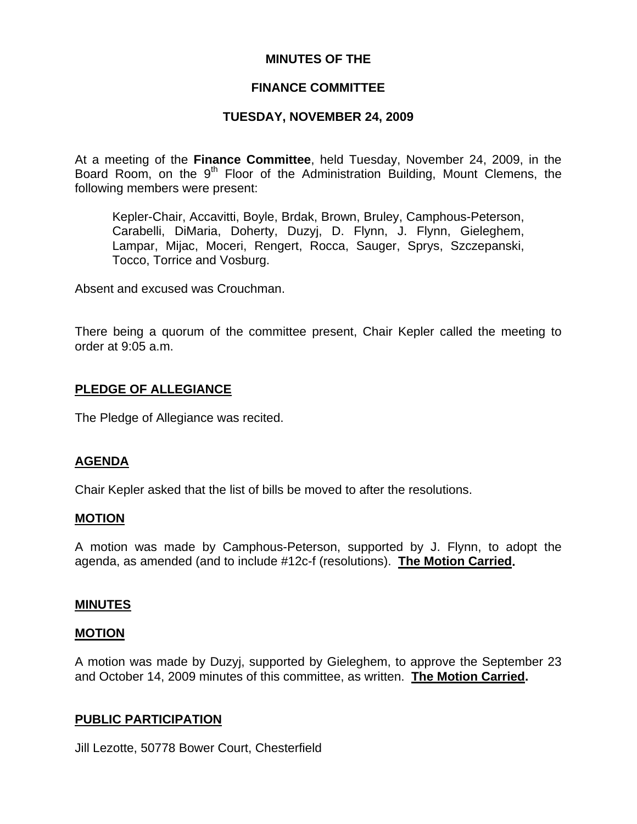### **MINUTES OF THE**

### **FINANCE COMMITTEE**

### **TUESDAY, NOVEMBER 24, 2009**

At a meeting of the **Finance Committee**, held Tuesday, November 24, 2009, in the Board Room, on the 9<sup>th</sup> Floor of the Administration Building, Mount Clemens, the following members were present:

Kepler-Chair, Accavitti, Boyle, Brdak, Brown, Bruley, Camphous-Peterson, Carabelli, DiMaria, Doherty, Duzyj, D. Flynn, J. Flynn, Gieleghem, Lampar, Mijac, Moceri, Rengert, Rocca, Sauger, Sprys, Szczepanski, Tocco, Torrice and Vosburg.

Absent and excused was Crouchman.

There being a quorum of the committee present, Chair Kepler called the meeting to order at 9:05 a.m.

### **PLEDGE OF ALLEGIANCE**

The Pledge of Allegiance was recited.

### **AGENDA**

Chair Kepler asked that the list of bills be moved to after the resolutions.

### **MOTION**

A motion was made by Camphous-Peterson, supported by J. Flynn, to adopt the agenda, as amended (and to include #12c-f (resolutions). **The Motion Carried.** 

#### **MINUTES**

#### **MOTION**

A motion was made by Duzyj, supported by Gieleghem, to approve the September 23 and October 14, 2009 minutes of this committee, as written. **The Motion Carried.** 

### **PUBLIC PARTICIPATION**

Jill Lezotte, 50778 Bower Court, Chesterfield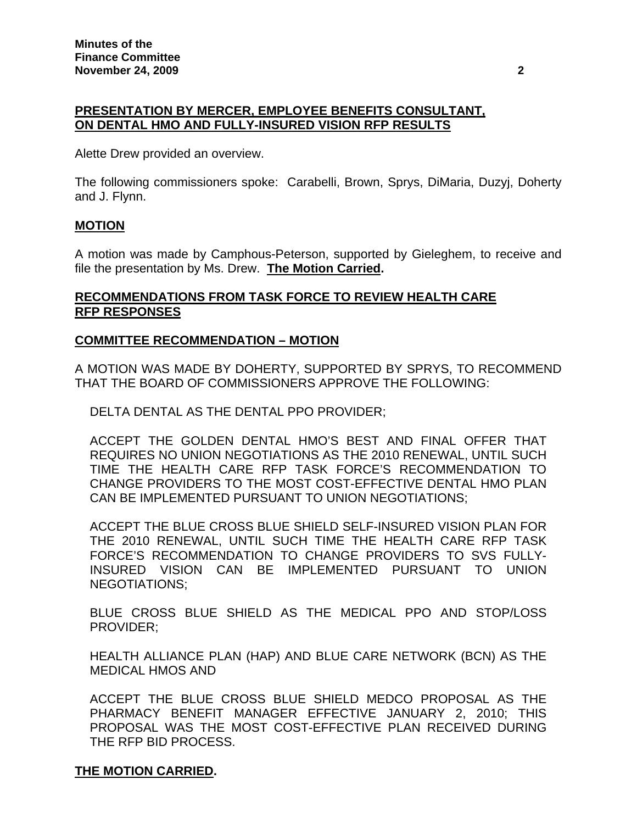# **PRESENTATION BY MERCER, EMPLOYEE BENEFITS CONSULTANT, ON DENTAL HMO AND FULLY-INSURED VISION RFP RESULTS**

Alette Drew provided an overview.

The following commissioners spoke: Carabelli, Brown, Sprys, DiMaria, Duzyj, Doherty and J. Flynn.

### **MOTION**

A motion was made by Camphous-Peterson, supported by Gieleghem, to receive and file the presentation by Ms. Drew. **The Motion Carried.** 

# **RECOMMENDATIONS FROM TASK FORCE TO REVIEW HEALTH CARE RFP RESPONSES**

### **COMMITTEE RECOMMENDATION – MOTION**

A MOTION WAS MADE BY DOHERTY, SUPPORTED BY SPRYS, TO RECOMMEND THAT THE BOARD OF COMMISSIONERS APPROVE THE FOLLOWING:

DELTA DENTAL AS THE DENTAL PPO PROVIDER;

ACCEPT THE GOLDEN DENTAL HMO'S BEST AND FINAL OFFER THAT REQUIRES NO UNION NEGOTIATIONS AS THE 2010 RENEWAL, UNTIL SUCH TIME THE HEALTH CARE RFP TASK FORCE'S RECOMMENDATION TO CHANGE PROVIDERS TO THE MOST COST-EFFECTIVE DENTAL HMO PLAN CAN BE IMPLEMENTED PURSUANT TO UNION NEGOTIATIONS;

ACCEPT THE BLUE CROSS BLUE SHIELD SELF-INSURED VISION PLAN FOR THE 2010 RENEWAL, UNTIL SUCH TIME THE HEALTH CARE RFP TASK FORCE'S RECOMMENDATION TO CHANGE PROVIDERS TO SVS FULLY-INSURED VISION CAN BE IMPLEMENTED PURSUANT TO UNION NEGOTIATIONS;

BLUE CROSS BLUE SHIELD AS THE MEDICAL PPO AND STOP/LOSS PROVIDER;

HEALTH ALLIANCE PLAN (HAP) AND BLUE CARE NETWORK (BCN) AS THE MEDICAL HMOS AND

ACCEPT THE BLUE CROSS BLUE SHIELD MEDCO PROPOSAL AS THE PHARMACY BENEFIT MANAGER EFFECTIVE JANUARY 2, 2010; THIS PROPOSAL WAS THE MOST COST-EFFECTIVE PLAN RECEIVED DURING THE RFP BID PROCESS.

# **THE MOTION CARRIED.**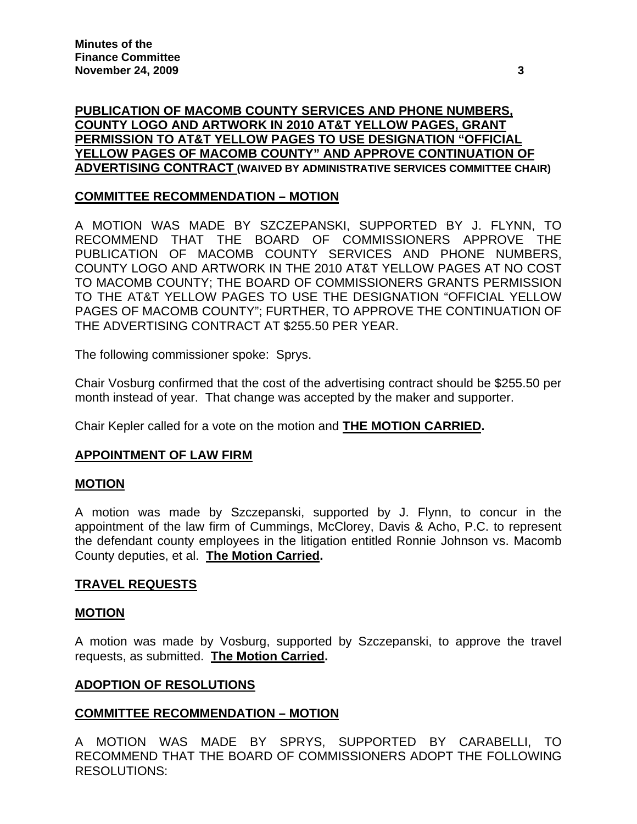# **PUBLICATION OF MACOMB COUNTY SERVICES AND PHONE NUMBERS, COUNTY LOGO AND ARTWORK IN 2010 AT&T YELLOW PAGES, GRANT PERMISSION TO AT&T YELLOW PAGES TO USE DESIGNATION "OFFICIAL YELLOW PAGES OF MACOMB COUNTY" AND APPROVE CONTINUATION OF ADVERTISING CONTRACT (WAIVED BY ADMINISTRATIVE SERVICES COMMITTEE CHAIR)**

# **COMMITTEE RECOMMENDATION – MOTION**

A MOTION WAS MADE BY SZCZEPANSKI, SUPPORTED BY J. FLYNN, TO RECOMMEND THAT THE BOARD OF COMMISSIONERS APPROVE THE PUBLICATION OF MACOMB COUNTY SERVICES AND PHONE NUMBERS, COUNTY LOGO AND ARTWORK IN THE 2010 AT&T YELLOW PAGES AT NO COST TO MACOMB COUNTY; THE BOARD OF COMMISSIONERS GRANTS PERMISSION TO THE AT&T YELLOW PAGES TO USE THE DESIGNATION "OFFICIAL YELLOW PAGES OF MACOMB COUNTY"; FURTHER, TO APPROVE THE CONTINUATION OF THE ADVERTISING CONTRACT AT \$255.50 PER YEAR.

The following commissioner spoke: Sprys.

Chair Vosburg confirmed that the cost of the advertising contract should be \$255.50 per month instead of year. That change was accepted by the maker and supporter.

Chair Kepler called for a vote on the motion and **THE MOTION CARRIED.** 

# **APPOINTMENT OF LAW FIRM**

### **MOTION**

A motion was made by Szczepanski, supported by J. Flynn, to concur in the appointment of the law firm of Cummings, McClorey, Davis & Acho, P.C. to represent the defendant county employees in the litigation entitled Ronnie Johnson vs. Macomb County deputies, et al. **The Motion Carried.** 

### **TRAVEL REQUESTS**

### **MOTION**

A motion was made by Vosburg, supported by Szczepanski, to approve the travel requests, as submitted. **The Motion Carried.** 

### **ADOPTION OF RESOLUTIONS**

### **COMMITTEE RECOMMENDATION – MOTION**

A MOTION WAS MADE BY SPRYS, SUPPORTED BY CARABELLI, TO RECOMMEND THAT THE BOARD OF COMMISSIONERS ADOPT THE FOLLOWING RESOLUTIONS: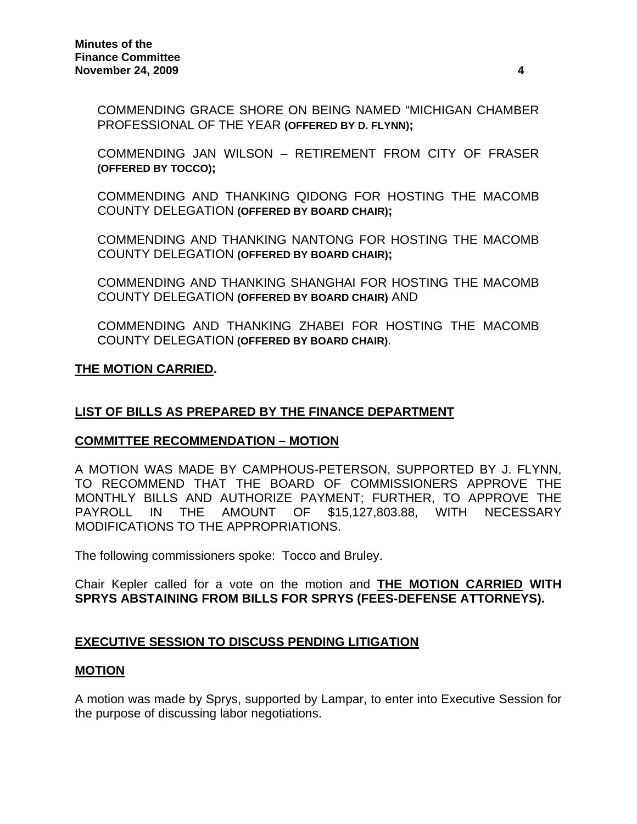COMMENDING GRACE SHORE ON BEING NAMED "MICHIGAN CHAMBER PROFESSIONAL OF THE YEAR **(OFFERED BY D. FLYNN);** 

COMMENDING JAN WILSON – RETIREMENT FROM CITY OF FRASER **(OFFERED BY TOCCO);** 

COMMENDING AND THANKING QIDONG FOR HOSTING THE MACOMB COUNTY DELEGATION **(OFFERED BY BOARD CHAIR);** 

COMMENDING AND THANKING NANTONG FOR HOSTING THE MACOMB COUNTY DELEGATION **(OFFERED BY BOARD CHAIR);** 

COMMENDING AND THANKING SHANGHAI FOR HOSTING THE MACOMB COUNTY DELEGATION **(OFFERED BY BOARD CHAIR)** AND

COMMENDING AND THANKING ZHABEI FOR HOSTING THE MACOMB COUNTY DELEGATION **(OFFERED BY BOARD CHAIR)**.

# **THE MOTION CARRIED.**

# **LIST OF BILLS AS PREPARED BY THE FINANCE DEPARTMENT**

# **COMMITTEE RECOMMENDATION – MOTION**

A MOTION WAS MADE BY CAMPHOUS-PETERSON, SUPPORTED BY J. FLYNN, TO RECOMMEND THAT THE BOARD OF COMMISSIONERS APPROVE THE MONTHLY BILLS AND AUTHORIZE PAYMENT; FURTHER, TO APPROVE THE PAYROLL IN THE AMOUNT OF \$15,127,803.88, WITH NECESSARY MODIFICATIONS TO THE APPROPRIATIONS.

The following commissioners spoke: Tocco and Bruley.

Chair Kepler called for a vote on the motion and **THE MOTION CARRIED WITH SPRYS ABSTAINING FROM BILLS FOR SPRYS (FEES-DEFENSE ATTORNEYS).** 

# **EXECUTIVE SESSION TO DISCUSS PENDING LITIGATION**

### **MOTION**

A motion was made by Sprys, supported by Lampar, to enter into Executive Session for the purpose of discussing labor negotiations.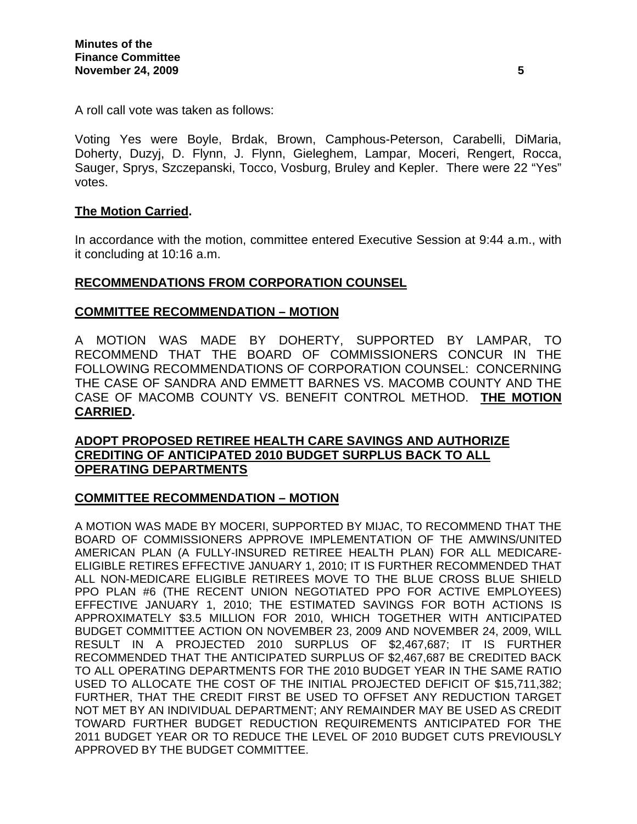A roll call vote was taken as follows:

Voting Yes were Boyle, Brdak, Brown, Camphous-Peterson, Carabelli, DiMaria, Doherty, Duzyj, D. Flynn, J. Flynn, Gieleghem, Lampar, Moceri, Rengert, Rocca, Sauger, Sprys, Szczepanski, Tocco, Vosburg, Bruley and Kepler. There were 22 "Yes" votes.

### **The Motion Carried.**

In accordance with the motion, committee entered Executive Session at 9:44 a.m., with it concluding at 10:16 a.m.

### **RECOMMENDATIONS FROM CORPORATION COUNSEL**

### **COMMITTEE RECOMMENDATION – MOTION**

A MOTION WAS MADE BY DOHERTY, SUPPORTED BY LAMPAR, TO RECOMMEND THAT THE BOARD OF COMMISSIONERS CONCUR IN THE FOLLOWING RECOMMENDATIONS OF CORPORATION COUNSEL: CONCERNING THE CASE OF SANDRA AND EMMETT BARNES VS. MACOMB COUNTY AND THE CASE OF MACOMB COUNTY VS. BENEFIT CONTROL METHOD. **THE MOTION CARRIED.** 

# **ADOPT PROPOSED RETIREE HEALTH CARE SAVINGS AND AUTHORIZE CREDITING OF ANTICIPATED 2010 BUDGET SURPLUS BACK TO ALL OPERATING DEPARTMENTS**

### **COMMITTEE RECOMMENDATION – MOTION**

A MOTION WAS MADE BY MOCERI, SUPPORTED BY MIJAC, TO RECOMMEND THAT THE BOARD OF COMMISSIONERS APPROVE IMPLEMENTATION OF THE AMWINS/UNITED AMERICAN PLAN (A FULLY-INSURED RETIREE HEALTH PLAN) FOR ALL MEDICARE-ELIGIBLE RETIRES EFFECTIVE JANUARY 1, 2010; IT IS FURTHER RECOMMENDED THAT ALL NON-MEDICARE ELIGIBLE RETIREES MOVE TO THE BLUE CROSS BLUE SHIELD PPO PLAN #6 (THE RECENT UNION NEGOTIATED PPO FOR ACTIVE EMPLOYEES) EFFECTIVE JANUARY 1, 2010; THE ESTIMATED SAVINGS FOR BOTH ACTIONS IS APPROXIMATELY \$3.5 MILLION FOR 2010, WHICH TOGETHER WITH ANTICIPATED BUDGET COMMITTEE ACTION ON NOVEMBER 23, 2009 AND NOVEMBER 24, 2009, WILL RESULT IN A PROJECTED 2010 SURPLUS OF \$2,467,687; IT IS FURTHER RECOMMENDED THAT THE ANTICIPATED SURPLUS OF \$2,467,687 BE CREDITED BACK TO ALL OPERATING DEPARTMENTS FOR THE 2010 BUDGET YEAR IN THE SAME RATIO USED TO ALLOCATE THE COST OF THE INITIAL PROJECTED DEFICIT OF \$15,711,382; FURTHER, THAT THE CREDIT FIRST BE USED TO OFFSET ANY REDUCTION TARGET NOT MET BY AN INDIVIDUAL DEPARTMENT; ANY REMAINDER MAY BE USED AS CREDIT TOWARD FURTHER BUDGET REDUCTION REQUIREMENTS ANTICIPATED FOR THE 2011 BUDGET YEAR OR TO REDUCE THE LEVEL OF 2010 BUDGET CUTS PREVIOUSLY APPROVED BY THE BUDGET COMMITTEE.